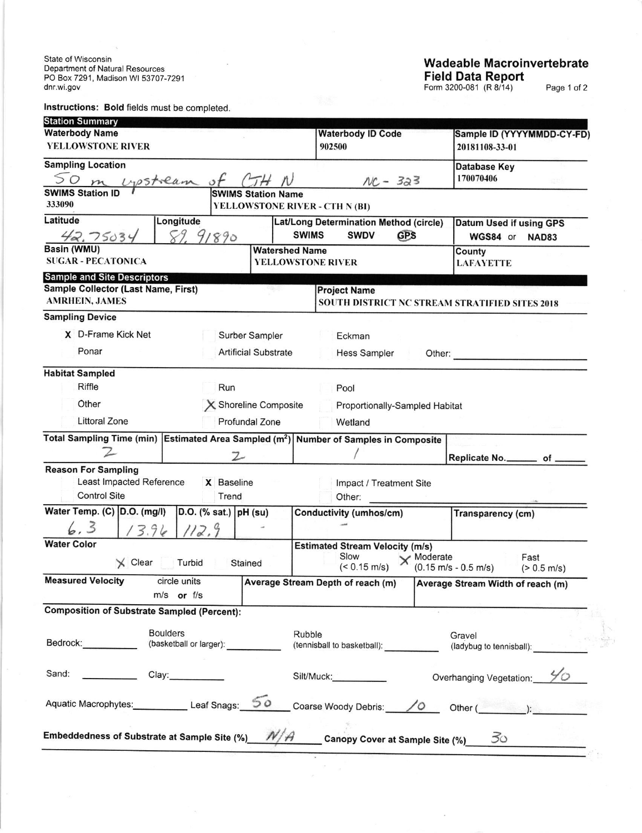State of Wisconsin<br>Department of Natural Resources<br>PO Box 7291, Madison WI 53707-7291 dnr.wi.gov

Instructions: Bold fields must be completed.

## Wadeable Macroinvertebrate<br>Field Data Report<br>Form 3200-081 (R 8/14) Page 1 of 2

| <b>Station Summary</b>                                                                            |                             |                           |                                       |                                                                       |                                    |                                                                 |  |
|---------------------------------------------------------------------------------------------------|-----------------------------|---------------------------|---------------------------------------|-----------------------------------------------------------------------|------------------------------------|-----------------------------------------------------------------|--|
| <b>Waterbody Name</b>                                                                             |                             |                           |                                       | <b>Waterbody ID Code</b>                                              |                                    | Sample ID (YYYYMMDD-CY-FD)                                      |  |
| <b>YELLOWSTONE RIVER</b>                                                                          |                             |                           |                                       | 902500                                                                |                                    | 20181108-33-01                                                  |  |
| <b>Sampling Location</b>                                                                          |                             |                           |                                       |                                                                       |                                    | Database Key                                                    |  |
| m visstilam                                                                                       |                             |                           |                                       | $NC - 323$                                                            |                                    | 170070406<br>gw.                                                |  |
| <b>SWIMS Station ID</b><br>333090                                                                 |                             | <b>SWIMS Station Name</b> |                                       | YELLOWSTONE RIVER - CTH N (BI)                                        |                                    |                                                                 |  |
| Latitude                                                                                          | Longitude                   |                           |                                       |                                                                       |                                    |                                                                 |  |
|                                                                                                   | 89.91890                    |                           |                                       | Lat/Long Determination Method (circle)<br><b>SWIMS</b><br><b>SWDV</b> | <b>GPS</b>                         | Datum Used if using GPS<br>WGS84 or NAD83                       |  |
| 42.75034<br>Basin (WMU)                                                                           |                             |                           | <b>Watershed Name</b>                 |                                                                       |                                    | County                                                          |  |
| <b>SUGAR - PECATONICA</b>                                                                         |                             |                           |                                       | <b>YELLOWSTONE RIVER</b>                                              |                                    | <b>LAFAYETTE</b>                                                |  |
| <b>Sample and Site Descriptors</b>                                                                |                             |                           |                                       |                                                                       |                                    |                                                                 |  |
| Sample Collector (Last Name, First)                                                               |                             |                           |                                       | <b>Project Name</b>                                                   |                                    |                                                                 |  |
| <b>AMRHEIN, JAMES</b>                                                                             |                             |                           |                                       |                                                                       |                                    | SOUTH DISTRICT NC STREAM STRATIFIED SITES 2018                  |  |
| <b>Sampling Device</b>                                                                            |                             |                           |                                       |                                                                       |                                    |                                                                 |  |
| X D-Frame Kick Net<br>Surber Sampler                                                              |                             |                           |                                       | Eckman                                                                |                                    |                                                                 |  |
| Ponar                                                                                             | <b>Artificial Substrate</b> |                           |                                       | <b>Hess Sampler</b><br>Other:                                         |                                    |                                                                 |  |
| <b>Habitat Sampled</b>                                                                            |                             |                           |                                       |                                                                       |                                    |                                                                 |  |
| <b>Riffle</b>                                                                                     |                             | Run                       |                                       | Pool                                                                  |                                    |                                                                 |  |
| Other                                                                                             | X Shoreline Composite       |                           |                                       | Proportionally-Sampled Habitat                                        |                                    |                                                                 |  |
| <b>Littoral Zone</b>                                                                              |                             | Profundal Zone            |                                       |                                                                       |                                    |                                                                 |  |
|                                                                                                   |                             |                           |                                       | Wetland                                                               |                                    |                                                                 |  |
| Total Sampling Time (min) Estimated Area Sampled (m <sup>2</sup> ) Number of Samples in Composite |                             |                           |                                       |                                                                       |                                    |                                                                 |  |
|                                                                                                   | $\mathcal{Z}$               |                           |                                       |                                                                       |                                    | Replicate No. _________ of _                                    |  |
| <b>Reason For Sampling</b><br>Least Impacted Reference                                            |                             |                           |                                       |                                                                       |                                    |                                                                 |  |
| <b>Control Site</b>                                                                               |                             | X Baseline<br>Trend       |                                       | Impact / Treatment Site<br>Other:                                     |                                    |                                                                 |  |
| Water Temp. (C) D.O. (mg/l)                                                                       |                             | $D.O.$ (% sat.) $pH$ (su) |                                       |                                                                       |                                    |                                                                 |  |
|                                                                                                   |                             |                           |                                       | Conductivity (umhos/cm)                                               |                                    | Transparency (cm)                                               |  |
| 6, 3                                                                                              | 12.9<br>3.96                |                           |                                       |                                                                       |                                    |                                                                 |  |
| <b>Water Color</b>                                                                                |                             |                           |                                       | <b>Estimated Stream Velocity (m/s)</b><br>Slow                        |                                    |                                                                 |  |
| $\times$ Clear                                                                                    | Turbid                      | Stained                   |                                       | $(< 0.15$ m/s)                                                        | $\times$ Moderate                  | Fast<br>$(0.15 \text{ m/s} - 0.5 \text{ m/s})$<br>$(> 0.5$ m/s) |  |
| <b>Measured Velocity</b>                                                                          | circle units                |                           |                                       | Average Stream Depth of reach (m)                                     |                                    | Average Stream Width of reach (m)                               |  |
|                                                                                                   | $m/s$ or $f/s$              |                           |                                       |                                                                       |                                    |                                                                 |  |
| <b>Composition of Substrate Sampled (Percent):</b>                                                |                             |                           |                                       |                                                                       |                                    |                                                                 |  |
|                                                                                                   |                             |                           |                                       |                                                                       |                                    |                                                                 |  |
| <b>Boulders</b><br>Bedrock: North Section 2014<br>(basketball or larger):                         |                             |                           | Rubble<br>(tennisball to basketball): |                                                                       | Gravel<br>(ladybug to tennisball): |                                                                 |  |
|                                                                                                   |                             |                           |                                       |                                                                       |                                    |                                                                 |  |
| Sand:<br>$\sim$ 100 $\sim$                                                                        | Clay:___________            |                           |                                       | Silt/Muck:                                                            |                                    | Overhanging Vegetation:                                         |  |
| Aquatic Macrophytes: Leaf Snags:                                                                  |                             |                           | ၁၀                                    | Coarse Woody Debris: / 0                                              |                                    | Other (                                                         |  |
|                                                                                                   |                             |                           |                                       |                                                                       |                                    |                                                                 |  |
| Embeddedness of Substrate at Sample Site (%)                                                      |                             |                           |                                       | <b>Canopy Cover at Sample Site (%)</b>                                |                                    | 30                                                              |  |